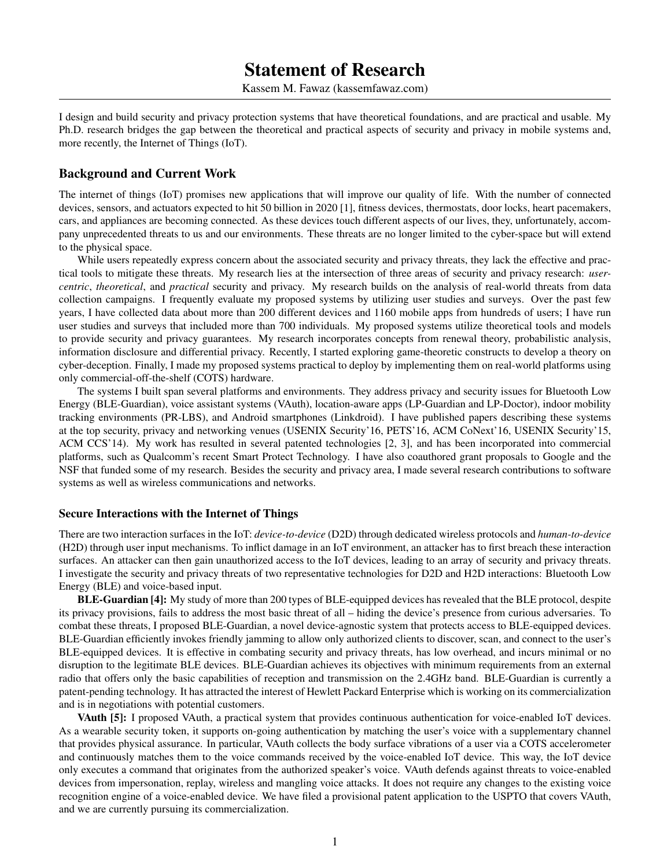# Statement of Research

Kassem M. Fawaz [\(kassemfawaz.com\)](http://kassemfawaz.com)

I design and build security and privacy protection systems that have theoretical foundations, and are practical and usable. My Ph.D. research bridges the gap between the theoretical and practical aspects of security and privacy in mobile systems and, more recently, the Internet of Things (IoT).

### Background and Current Work

The internet of things (IoT) promises new applications that will improve our quality of life. With the number of connected devices, sensors, and actuators expected to hit 50 billion in 2020 [\[1\]](#page-2-0), fitness devices, thermostats, door locks, heart pacemakers, cars, and appliances are becoming connected. As these devices touch different aspects of our lives, they, unfortunately, accompany unprecedented threats to us and our environments. These threats are no longer limited to the cyber-space but will extend to the physical space.

While users repeatedly express concern about the associated security and privacy threats, they lack the effective and practical tools to mitigate these threats. My research lies at the intersection of three areas of security and privacy research: *usercentric*, *theoretical*, and *practical* security and privacy. My research builds on the analysis of real-world threats from data collection campaigns. I frequently evaluate my proposed systems by utilizing user studies and surveys. Over the past few years, I have collected data about more than 200 different devices and 1160 mobile apps from hundreds of users; I have run user studies and surveys that included more than 700 individuals. My proposed systems utilize theoretical tools and models to provide security and privacy guarantees. My research incorporates concepts from renewal theory, probabilistic analysis, information disclosure and differential privacy. Recently, I started exploring game-theoretic constructs to develop a theory on cyber-deception. Finally, I made my proposed systems practical to deploy by implementing them on real-world platforms using only commercial-off-the-shelf (COTS) hardware.

The systems I built span several platforms and environments. They address privacy and security issues for Bluetooth Low Energy (BLE-Guardian), voice assistant systems (VAuth), location-aware apps (LP-Guardian and LP-Doctor), indoor mobility tracking environments (PR-LBS), and Android smartphones (Linkdroid). I have published papers describing these systems at the top security, privacy and networking venues (USENIX Security'16, PETS'16, ACM CoNext'16, USENIX Security'15, ACM CCS'14). My work has resulted in several patented technologies [\[2,](#page-2-1) [3\]](#page-2-2), and has been incorporated into commercial platforms, such as Qualcomm's recent Smart Protect Technology. I have also coauthored grant proposals to Google and the NSF that funded some of my research. Besides the security and privacy area, I made several research contributions to software systems as well as wireless communications and networks.

#### Secure Interactions with the Internet of Things

There are two interaction surfaces in the IoT: *device-to-device* (D2D) through dedicated wireless protocols and *human-to-device* (H2D) through user input mechanisms. To inflict damage in an IoT environment, an attacker has to first breach these interaction surfaces. An attacker can then gain unauthorized access to the IoT devices, leading to an array of security and privacy threats. I investigate the security and privacy threats of two representative technologies for D2D and H2D interactions: Bluetooth Low Energy (BLE) and voice-based input.

BLE-Guardian [\[4\]](#page-2-3): My study of more than 200 types of BLE-equipped devices has revealed that the BLE protocol, despite its privacy provisions, fails to address the most basic threat of all – hiding the device's presence from curious adversaries. To combat these threats, I proposed BLE-Guardian, a novel device-agnostic system that protects access to BLE-equipped devices. BLE-Guardian efficiently invokes friendly jamming to allow only authorized clients to discover, scan, and connect to the user's BLE-equipped devices. It is effective in combating security and privacy threats, has low overhead, and incurs minimal or no disruption to the legitimate BLE devices. BLE-Guardian achieves its objectives with minimum requirements from an external radio that offers only the basic capabilities of reception and transmission on the 2.4GHz band. BLE-Guardian is currently a patent-pending technology. It has attracted the interest of Hewlett Packard Enterprise which is working on its commercialization and is in negotiations with potential customers.

VAuth [\[5\]](#page-2-4): I proposed VAuth, a practical system that provides continuous authentication for voice-enabled IoT devices. As a wearable security token, it supports on-going authentication by matching the user's voice with a supplementary channel that provides physical assurance. In particular, VAuth collects the body surface vibrations of a user via a COTS accelerometer and continuously matches them to the voice commands received by the voice-enabled IoT device. This way, the IoT device only executes a command that originates from the authorized speaker's voice. VAuth defends against threats to voice-enabled devices from impersonation, replay, wireless and mangling voice attacks. It does not require any changes to the existing voice recognition engine of a voice-enabled device. We have filed a provisional patent application to the USPTO that covers VAuth, and we are currently pursuing its commercialization.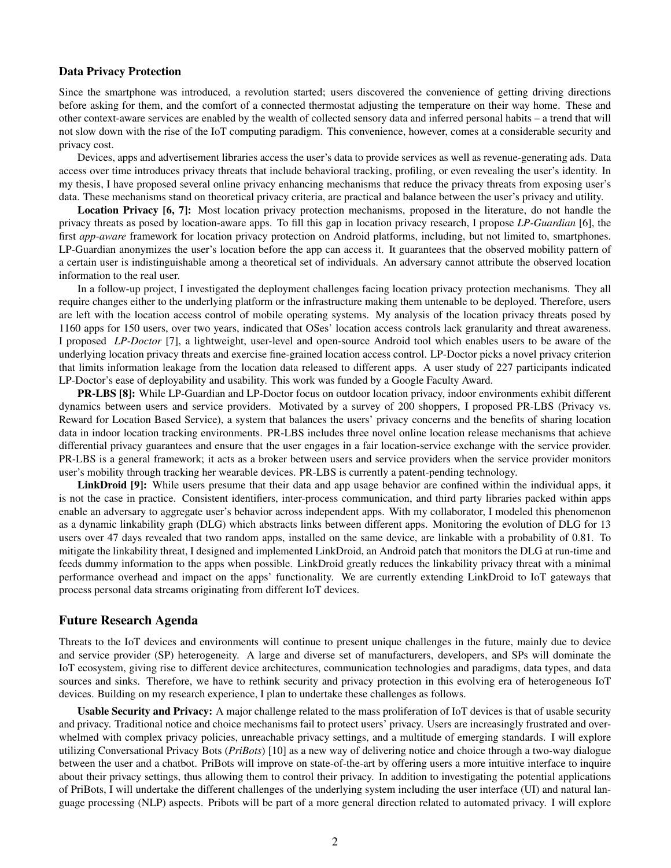#### Data Privacy Protection

Since the smartphone was introduced, a revolution started; users discovered the convenience of getting driving directions before asking for them, and the comfort of a connected thermostat adjusting the temperature on their way home. These and other context-aware services are enabled by the wealth of collected sensory data and inferred personal habits – a trend that will not slow down with the rise of the IoT computing paradigm. This convenience, however, comes at a considerable security and privacy cost.

Devices, apps and advertisement libraries access the user's data to provide services as well as revenue-generating ads. Data access over time introduces privacy threats that include behavioral tracking, profiling, or even revealing the user's identity. In my thesis, I have proposed several online privacy enhancing mechanisms that reduce the privacy threats from exposing user's data. These mechanisms stand on theoretical privacy criteria, are practical and balance between the user's privacy and utility.

Location Privacy [\[6,](#page-2-5) [7\]](#page-2-6): Most location privacy protection mechanisms, proposed in the literature, do not handle the privacy threats as posed by location-aware apps. To fill this gap in location privacy research, I propose *LP-Guardian* [\[6\]](#page-2-5), the first *app-aware* framework for location privacy protection on Android platforms, including, but not limited to, smartphones. LP-Guardian anonymizes the user's location before the app can access it. It guarantees that the observed mobility pattern of a certain user is indistinguishable among a theoretical set of individuals. An adversary cannot attribute the observed location information to the real user.

In a follow-up project, I investigated the deployment challenges facing location privacy protection mechanisms. They all require changes either to the underlying platform or the infrastructure making them untenable to be deployed. Therefore, users are left with the location access control of mobile operating systems. My analysis of the location privacy threats posed by 1160 apps for 150 users, over two years, indicated that OSes' location access controls lack granularity and threat awareness. I proposed *LP-Doctor* [\[7\]](#page-2-6), a lightweight, user-level and open-source Android tool which enables users to be aware of the underlying location privacy threats and exercise fine-grained location access control. LP-Doctor picks a novel privacy criterion that limits information leakage from the location data released to different apps. A user study of 227 participants indicated LP-Doctor's ease of deployability and usability. This work was funded by a Google Faculty Award.

PR-LBS [\[8\]](#page-2-7): While LP-Guardian and LP-Doctor focus on outdoor location privacy, indoor environments exhibit different dynamics between users and service providers. Motivated by a survey of 200 shoppers, I proposed PR-LBS (Privacy vs. Reward for Location Based Service), a system that balances the users' privacy concerns and the benefits of sharing location data in indoor location tracking environments. PR-LBS includes three novel online location release mechanisms that achieve differential privacy guarantees and ensure that the user engages in a fair location-service exchange with the service provider. PR-LBS is a general framework; it acts as a broker between users and service providers when the service provider monitors user's mobility through tracking her wearable devices. PR-LBS is currently a patent-pending technology.

LinkDroid [\[9\]](#page-2-8): While users presume that their data and app usage behavior are confined within the individual apps, it is not the case in practice. Consistent identifiers, inter-process communication, and third party libraries packed within apps enable an adversary to aggregate user's behavior across independent apps. With my collaborator, I modeled this phenomenon as a dynamic linkability graph (DLG) which abstracts links between different apps. Monitoring the evolution of DLG for 13 users over 47 days revealed that two random apps, installed on the same device, are linkable with a probability of 0.81. To mitigate the linkability threat, I designed and implemented LinkDroid, an Android patch that monitors the DLG at run-time and feeds dummy information to the apps when possible. LinkDroid greatly reduces the linkability privacy threat with a minimal performance overhead and impact on the apps' functionality. We are currently extending LinkDroid to IoT gateways that process personal data streams originating from different IoT devices.

#### Future Research Agenda

Threats to the IoT devices and environments will continue to present unique challenges in the future, mainly due to device and service provider (SP) heterogeneity. A large and diverse set of manufacturers, developers, and SPs will dominate the IoT ecosystem, giving rise to different device architectures, communication technologies and paradigms, data types, and data sources and sinks. Therefore, we have to rethink security and privacy protection in this evolving era of heterogeneous IoT devices. Building on my research experience, I plan to undertake these challenges as follows.

Usable Security and Privacy: A major challenge related to the mass proliferation of IoT devices is that of usable security and privacy. Traditional notice and choice mechanisms fail to protect users' privacy. Users are increasingly frustrated and overwhelmed with complex privacy policies, unreachable privacy settings, and a multitude of emerging standards. I will explore utilizing Conversational Privacy Bots (*PriBots*) [\[10\]](#page-2-9) as a new way of delivering notice and choice through a two-way dialogue between the user and a chatbot. PriBots will improve on state-of-the-art by offering users a more intuitive interface to inquire about their privacy settings, thus allowing them to control their privacy. In addition to investigating the potential applications of PriBots, I will undertake the different challenges of the underlying system including the user interface (UI) and natural language processing (NLP) aspects. Pribots will be part of a more general direction related to automated privacy. I will explore